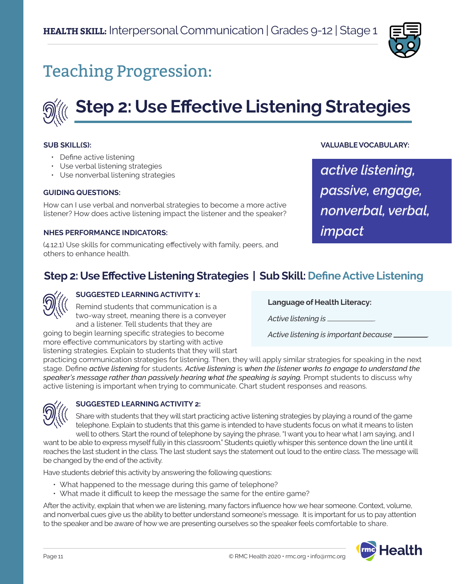

# Teaching Progression:



#### **SUB SKILL(S):**

- Define active listening
- Use verbal listening strategies
- Use nonverbal listening strategies

#### **GUIDING QUESTIONS:**

How can I use verbal and nonverbal strategies to become a more active listener? How does active listening impact the listener and the speaker?

#### **NHES PERFORMANCE INDICATORS:**

(4.12.1) Use skills for communicating effectively with family, peers, and others to enhance health.

#### **VALUABLE VOCABULARY:**

*active listening, passive, engage, nonverbal, verbal, impact*

## **Step 2: Use Effective Listening Strategies | Sub Skill: Define Active Listening**

#### **SUGGESTED LEARNING ACTIVITY 1:**

more effective communicators by starting with active

Remind students that communication is a two-way street, meaning there is a conveyer and a listener. Tell students that they are going to begin learning specific strategies to become

**Language of Health Literacy:**

*Active listening is* .

*Active listening is important because* .

listening strategies. Explain to students that they will start practicing communication strategies for listening. Then, they will apply similar strategies for speaking in the next stage. Define *active listening* for students. *Active listening* is *when the listener works to engage to understand the speaker's message rather than passively hearing what the speaking is saying.* Prompt students to discuss why active listening is important when trying to communicate. Chart student responses and reasons.



#### **SUGGESTED LEARNING ACTIVITY 2:**

Share with students that they will start practicing active listening strategies by playing a round of the game telephone. Explain to students that this game is intended to have students focus on what it means to listen well to others. Start the round of telephone by saying the phrase, "I want you to hear what I am saying, and I

want to be able to express myself fully in this classroom." Students quietly whisper this sentence down the line until it reaches the last student in the class. The last student says the statement out loud to the entire class. The message will be changed by the end of the activity.

Have students debrief this activity by answering the following questions:

- What happened to the message during this game of telephone?
- What made it difficult to keep the message the same for the entire game?

After the activity, explain that when we are listening, many factors influence how we hear someone. Context, volume, and nonverbal cues give us the ability to better understand someone's message. It is important for us to pay attention to the speaker and be aware of how we are presenting ourselves so the speaker feels comfortable to share.

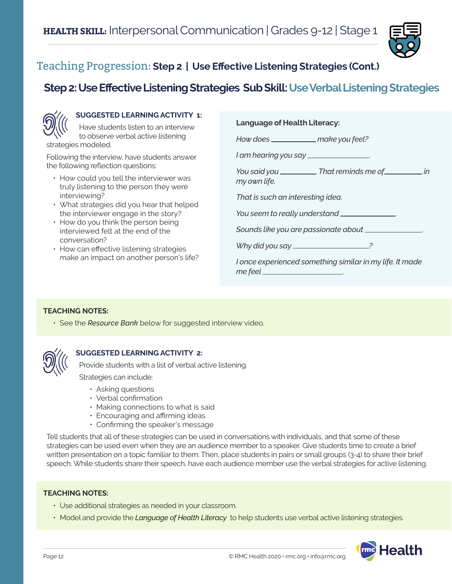

## Teaching Progression: **Step 2 | Use Effective Listening Strategies (Cont.)**

## **Step 2: Use Effective Listening Strategies Sub Skill: Use Verbal Listening Strategies**



#### **SUGGESTED LEARNING ACTIVITY 1:**

Have students listen to an interview to observe verbal active listening strategies modeled.

Following the interview, have students answer the following reflection questions:

- How could you tell the interviewer was truly listening to the person they were interviewing?
- What strategies did you hear that helped the interviewer engage in the story?
- How do you think the person being interviewed felt at the end of the conversation?
- How can effective listening strategies make an impact on another person's life?

#### **Language of Health Literacy:**

*How does* \_\_\_\_\_\_\_\_\_\_\_\_\_ make you feel?

*I am hearing you say* .

*You said you* . *That reminds me of in my own life.*

*That is such an interesting idea.*

*You seem to really understand* .

*Sounds like you are passionate about* .

*Why did you say ?*

*I once experienced something similar in my life. It made*  me feel \_\_

#### **TEACHING NOTES:**

• See the *Resource Bank* below for suggested interview video.



#### **SUGGESTED LEARNING ACTIVITY 2:**

Provide students with a list of verbal active listening.

Strategies can include:

- Asking questions
- Verbal confirmation
- Making connections to what is said
- Encouraging and affirming ideas
- Confirming the speaker's message

Tell students that all of these strategies can be used in conversations with individuals, and that some of these strategies can be used even when they are an audience member to a speaker. Give students time to create a brief written presentation on a topic familiar to them. Then, place students in pairs or small groups (3-4) to share their brief speech. While students share their speech, have each audience member use the verbal strategies for active listening.

#### **TEACHING NOTES:**

- Use additional strategies as needed in your classroom.
- Model and provide the *Language of Health Literacy* to help students use verbal active listening strategies.